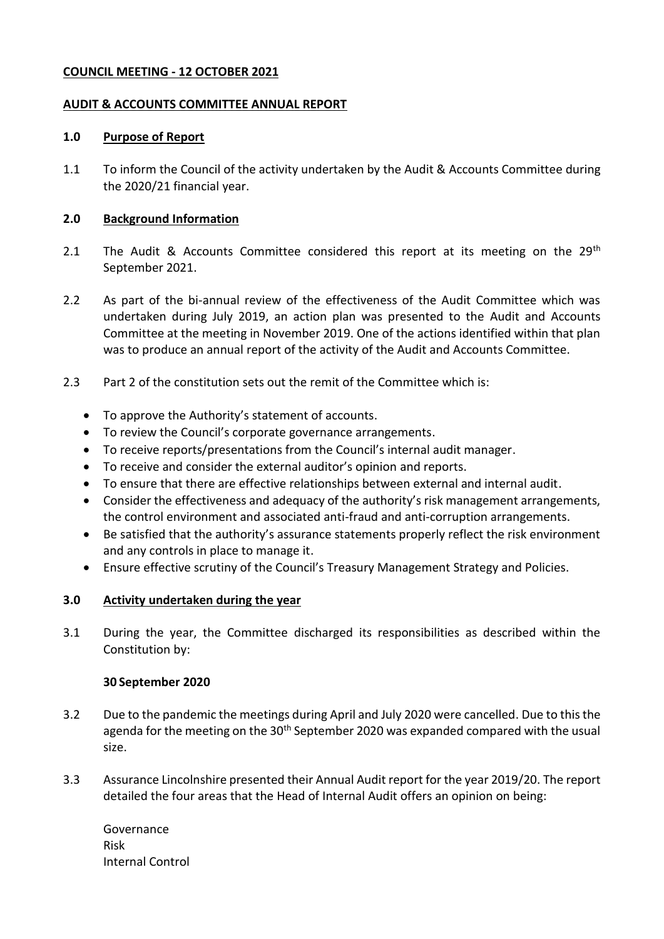### **COUNCIL MEETING - 12 OCTOBER 2021**

#### **AUDIT & ACCOUNTS COMMITTEE ANNUAL REPORT**

#### **1.0 Purpose of Report**

1.1 To inform the Council of the activity undertaken by the Audit & Accounts Committee during the 2020/21 financial year.

### **2.0 Background Information**

- 2.1 The Audit & Accounts Committee considered this report at its meeting on the  $29<sup>th</sup>$ September 2021.
- 2.2 As part of the bi-annual review of the effectiveness of the Audit Committee which was undertaken during July 2019, an action plan was presented to the Audit and Accounts Committee at the meeting in November 2019. One of the actions identified within that plan was to produce an annual report of the activity of the Audit and Accounts Committee.
- 2.3 Part 2 of the constitution sets out the remit of the Committee which is:
	- To approve the Authority's statement of accounts.
	- To review the Council's corporate governance arrangements.
	- To receive reports/presentations from the Council's internal audit manager.
	- To receive and consider the external auditor's opinion and reports.
	- To ensure that there are effective relationships between external and internal audit.
	- Consider the effectiveness and adequacy of the authority's risk management arrangements, the control environment and associated anti-fraud and anti-corruption arrangements.
	- Be satisfied that the authority's assurance statements properly reflect the risk environment and any controls in place to manage it.
	- Ensure effective scrutiny of the Council's Treasury Management Strategy and Policies.

### **3.0 Activity undertaken during the year**

3.1 During the year, the Committee discharged its responsibilities as described within the Constitution by:

### **30 September 2020**

- 3.2 Due to the pandemic the meetings during April and July 2020 were cancelled. Due to this the agenda for the meeting on the  $30<sup>th</sup>$  September 2020 was expanded compared with the usual size.
- 3.3 Assurance Lincolnshire presented their Annual Audit report for the year 2019/20. The report detailed the four areas that the Head of Internal Audit offers an opinion on being:

Governance Risk Internal Control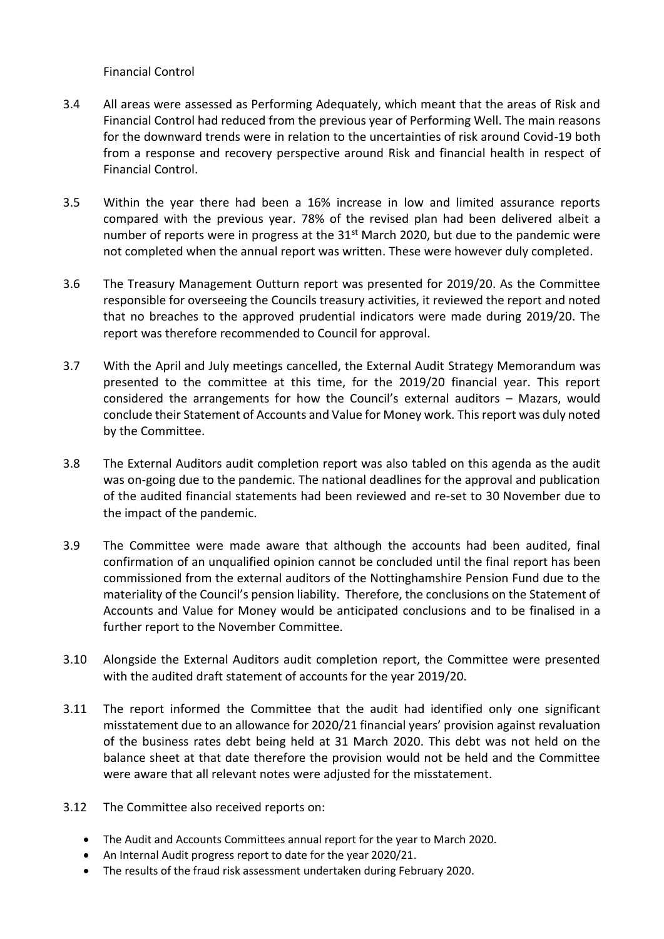Financial Control

- 3.4 All areas were assessed as Performing Adequately, which meant that the areas of Risk and Financial Control had reduced from the previous year of Performing Well. The main reasons for the downward trends were in relation to the uncertainties of risk around Covid-19 both from a response and recovery perspective around Risk and financial health in respect of Financial Control.
- 3.5 Within the year there had been a 16% increase in low and limited assurance reports compared with the previous year. 78% of the revised plan had been delivered albeit a number of reports were in progress at the  $31<sup>st</sup>$  March 2020, but due to the pandemic were not completed when the annual report was written. These were however duly completed.
- 3.6 The Treasury Management Outturn report was presented for 2019/20. As the Committee responsible for overseeing the Councils treasury activities, it reviewed the report and noted that no breaches to the approved prudential indicators were made during 2019/20. The report was therefore recommended to Council for approval.
- 3.7 With the April and July meetings cancelled, the External Audit Strategy Memorandum was presented to the committee at this time, for the 2019/20 financial year. This report considered the arrangements for how the Council's external auditors – Mazars, would conclude their Statement of Accounts and Value for Money work. This report was duly noted by the Committee.
- 3.8 The External Auditors audit completion report was also tabled on this agenda as the audit was on-going due to the pandemic. The national deadlines for the approval and publication of the audited financial statements had been reviewed and re-set to 30 November due to the impact of the pandemic.
- 3.9 The Committee were made aware that although the accounts had been audited, final confirmation of an unqualified opinion cannot be concluded until the final report has been commissioned from the external auditors of the Nottinghamshire Pension Fund due to the materiality of the Council's pension liability. Therefore, the conclusions on the Statement of Accounts and Value for Money would be anticipated conclusions and to be finalised in a further report to the November Committee.
- 3.10 Alongside the External Auditors audit completion report, the Committee were presented with the audited draft statement of accounts for the year 2019/20.
- 3.11 The report informed the Committee that the audit had identified only one significant misstatement due to an allowance for 2020/21 financial years' provision against revaluation of the business rates debt being held at 31 March 2020. This debt was not held on the balance sheet at that date therefore the provision would not be held and the Committee were aware that all relevant notes were adjusted for the misstatement.
- 3.12 The Committee also received reports on:
	- The Audit and Accounts Committees annual report for the year to March 2020.
	- An Internal Audit progress report to date for the year 2020/21.
	- The results of the fraud risk assessment undertaken during February 2020.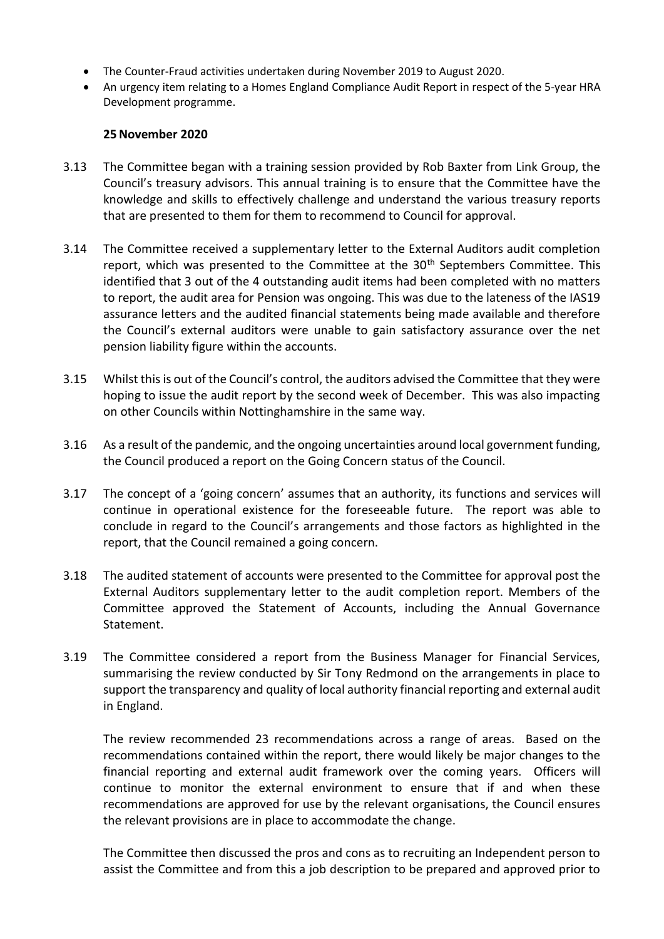- The Counter-Fraud activities undertaken during November 2019 to August 2020.
- An urgency item relating to a Homes England Compliance Audit Report in respect of the 5-year HRA Development programme.

# **25November 2020**

- 3.13 The Committee began with a training session provided by Rob Baxter from Link Group, the Council's treasury advisors. This annual training is to ensure that the Committee have the knowledge and skills to effectively challenge and understand the various treasury reports that are presented to them for them to recommend to Council for approval.
- 3.14 The Committee received a supplementary letter to the External Auditors audit completion report, which was presented to the Committee at the 30<sup>th</sup> Septembers Committee. This identified that 3 out of the 4 outstanding audit items had been completed with no matters to report, the audit area for Pension was ongoing. This was due to the lateness of the IAS19 assurance letters and the audited financial statements being made available and therefore the Council's external auditors were unable to gain satisfactory assurance over the net pension liability figure within the accounts.
- 3.15 Whilst this is out of the Council's control, the auditors advised the Committee that they were hoping to issue the audit report by the second week of December. This was also impacting on other Councils within Nottinghamshire in the same way.
- 3.16 As a result of the pandemic, and the ongoing uncertainties around local government funding, the Council produced a report on the Going Concern status of the Council.
- 3.17 The concept of a 'going concern' assumes that an authority, its functions and services will continue in operational existence for the foreseeable future. The report was able to conclude in regard to the Council's arrangements and those factors as highlighted in the report, that the Council remained a going concern.
- 3.18 The audited statement of accounts were presented to the Committee for approval post the External Auditors supplementary letter to the audit completion report. Members of the Committee approved the Statement of Accounts, including the Annual Governance Statement.
- 3.19 The Committee considered a report from the Business Manager for Financial Services, summarising the review conducted by Sir Tony Redmond on the arrangements in place to support the transparency and quality of local authority financial reporting and external audit in England.

The review recommended 23 recommendations across a range of areas. Based on the recommendations contained within the report, there would likely be major changes to the financial reporting and external audit framework over the coming years. Officers will continue to monitor the external environment to ensure that if and when these recommendations are approved for use by the relevant organisations, the Council ensures the relevant provisions are in place to accommodate the change.

The Committee then discussed the pros and cons as to recruiting an Independent person to assist the Committee and from this a job description to be prepared and approved prior to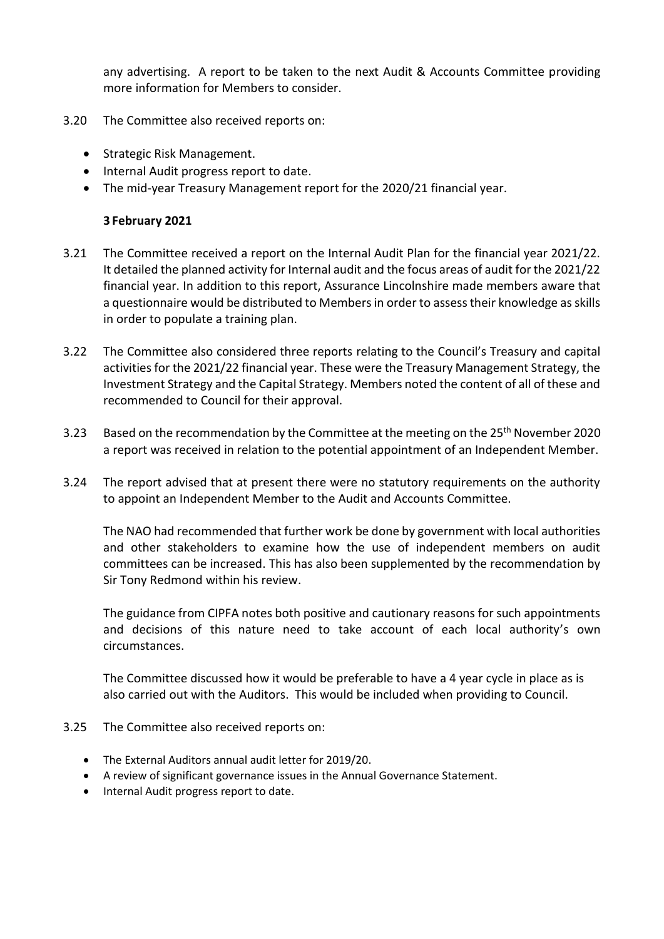any advertising. A report to be taken to the next Audit & Accounts Committee providing more information for Members to consider.

- 3.20 The Committee also received reports on:
	- Strategic Risk Management.
	- Internal Audit progress report to date.
	- The mid-year Treasury Management report for the 2020/21 financial year.

### **3 February 2021**

- 3.21 The Committee received a report on the Internal Audit Plan for the financial year 2021/22. It detailed the planned activity for Internal audit and the focus areas of audit for the 2021/22 financial year. In addition to this report, Assurance Lincolnshire made members aware that a questionnaire would be distributed to Members in order to assess their knowledge as skills in order to populate a training plan.
- 3.22 The Committee also considered three reports relating to the Council's Treasury and capital activities for the 2021/22 financial year. These were the Treasury Management Strategy, the Investment Strategy and the Capital Strategy. Members noted the content of all of these and recommended to Council for their approval.
- 3.23 Based on the recommendation by the Committee at the meeting on the 25<sup>th</sup> November 2020 a report was received in relation to the potential appointment of an Independent Member.
- 3.24 The report advised that at present there were no statutory requirements on the authority to appoint an Independent Member to the Audit and Accounts Committee.

The NAO had recommended that further work be done by government with local authorities and other stakeholders to examine how the use of independent members on audit committees can be increased. This has also been supplemented by the recommendation by Sir Tony Redmond within his review.

The guidance from CIPFA notes both positive and cautionary reasons for such appointments and decisions of this nature need to take account of each local authority's own circumstances.

The Committee discussed how it would be preferable to have a 4 year cycle in place as is also carried out with the Auditors. This would be included when providing to Council.

- 3.25 The Committee also received reports on:
	- The External Auditors annual audit letter for 2019/20.
	- A review of significant governance issues in the Annual Governance Statement.
	- Internal Audit progress report to date.